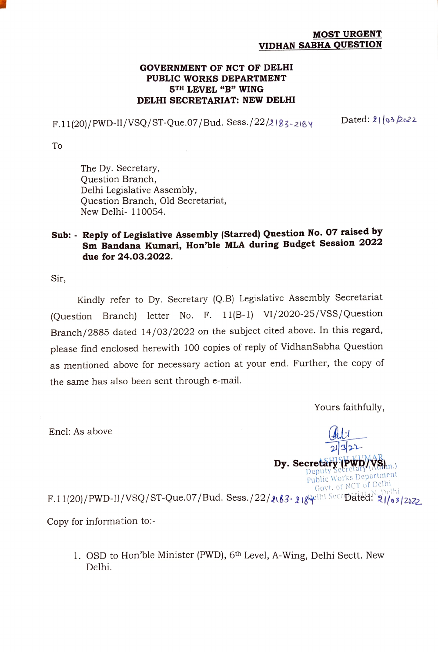## MOST URGENT VIDHAN SABHA QUESTION

## GOVERNMENT OF NCT OF DELHI PUBLIC WORKS DEPARTMENT 5TH LEVEL "B" WING DELHI SECRETARIAT: NEW DELHI

 $F.11(20)/PWD-H/VSQ/ST-Que.07/Bud. Sess./22/2183-2184$  Dated: 21 (03 2022)

To

The Dy. Secretary, Question Branch, Delhi Legislative Assembly, Question Branch, Old Secretariat, New Delhi- 110054.

## Sub: - Reply of Legislative Assembly (Starred) Question No. 07 raised by Sm Bandana Kumari, Hon'ble MLA during Budget Session 2022 due for 24.03.2022.

Sir,

Kindly refer to Dy. Secretary (Q.B) Legislative Assembly Secretariat (Question Branch) letter No. F. 11(B-1) VI/2020-25/VSS/Question Branch/2885 dated 14/03/2022 on the subject cited above. In this regard, please find enclosed herewith 100 copies of reply of VidhanSabha Question as mentioned above for necessary action at your end. Further, the copy of the same has also been sent through e-mail.

Yours faithfully,

Encl: As above

CHICLI KUMAR  $\mathbf{D}$ y. Secretary PWD<sub>/</sub>  $\mathbf{W}$ S<sub>hn.</sub>) Public Works Department Govi. of NCT of Dclhi F.11(20)/PWD-II/VSQ/ST-Que.07/Bud. Sess./22/2163- 2184 hi SecrDated: 21/03/2022.

Copy for information to:-

1. OSD to Hon'ble Minister (PWD), 6th Level, A-Wing, Delhi Sectt. New Delhi.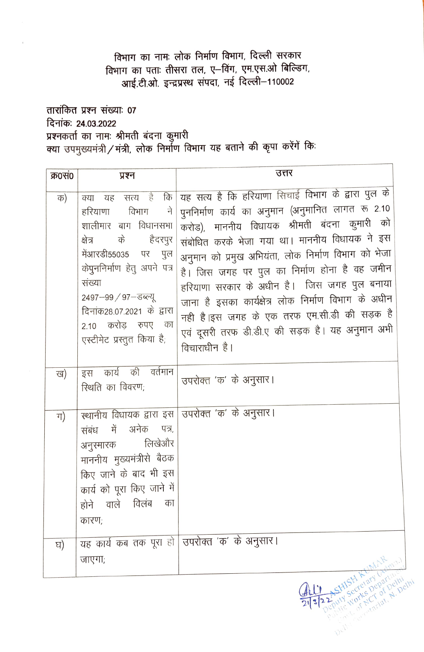## विभाग का नामः लोक निर्माण विभाग, दिल्ली सरकार विभाग का पताः तीसरा तल, ए-विंग, एम.एस.ओ बिल्डिंग, आई.टी.ओ. इन्द्रप्रस्थ संपदा, नई दिल्ली-110002

तारांकित प्रश्न संख्याः 07 दिनांकः 24.03.2022 

| क्र0सं0  | प्रश्न                                                                                                                                                                                                                                                                                 | उत्तर                                                                                                                                                                                                                                                                                                                                                                                                                                                                                                                                     |
|----------|----------------------------------------------------------------------------------------------------------------------------------------------------------------------------------------------------------------------------------------------------------------------------------------|-------------------------------------------------------------------------------------------------------------------------------------------------------------------------------------------------------------------------------------------------------------------------------------------------------------------------------------------------------------------------------------------------------------------------------------------------------------------------------------------------------------------------------------------|
| क)       | सत्य है<br>कि<br>क्या<br>यह<br>विभाग<br>ने<br>हरियाणा<br>शालीमार बाग विधानसभा<br>के<br>हैदरपुर<br>क्षेत्र<br>मेंआरडी55035 पर<br>पुल<br>केपुननिर्माण हेतु अपने पत्र<br>संख्या<br>2497-99 / 97-डब्ल्यू<br>दिनांक28.07.2021 के द्वारा<br>2.10 करोड़ रुपए का<br>एस्टीमेट प्रस्तुत किया है; | यह सत्य है कि हरियाणा सिचाई विभाग के द्वारा पुल के<br>पुननिर्माण कार्य का अनुमान (अनुमानित लागत रू 2.10<br>करोड), माननीय विधायक श्रीमती बंदना कुमारी को<br>संबोधित करके भेजा गया था। माननीय विधायक ने इस<br>अनुमान को प्रमुख अभियंता, लोक निर्माण विभाग को भेजा<br>है। जिस जगह पर पुल का निर्माण होना है वह जमीन<br>हरियाणा सरकार के अधीन है। जिस जगह पुल बनाया<br>जाना है इसका कार्यक्षेत्र लोक निर्माण विभाग के अधीन<br>नही है।इस जगह के एक तरफ एम.सी.डी की सड़क है<br>एवं दूसरी तरफ डी.डी.ए की सड़क है। यह अनुमान अभी<br>विचाराधीन है। |
| ख)<br>ग) | इस कार्य की वर्तमान<br>रिथति का विवरण;<br>संबंध में अनेक पत्र,<br>अनुरमारक लिखेऔर<br>माननीय मुख्यमंत्रीसे बैठक<br>किए जाने के बाद भी इस<br>कार्य को पूरा किए जाने में<br>होने वाले विलंब<br>का<br>कारण;                                                                                | उपरोक्त 'क' के अनुसार।<br>स्थानीय विधायक द्वारा इस उपरोक्त 'क' के अनुसार।                                                                                                                                                                                                                                                                                                                                                                                                                                                                 |
| घ)       |                                                                                                                                                                                                                                                                                        | यह कार्य कब तक पूरा हो उिपरोक्त 'क' के अनुसार।                                                                                                                                                                                                                                                                                                                                                                                                                                                                                            |
|          | जाएगा;                                                                                                                                                                                                                                                                                 | 11F                                                                                                                                                                                                                                                                                                                                                                                                                                                                                                                                       |